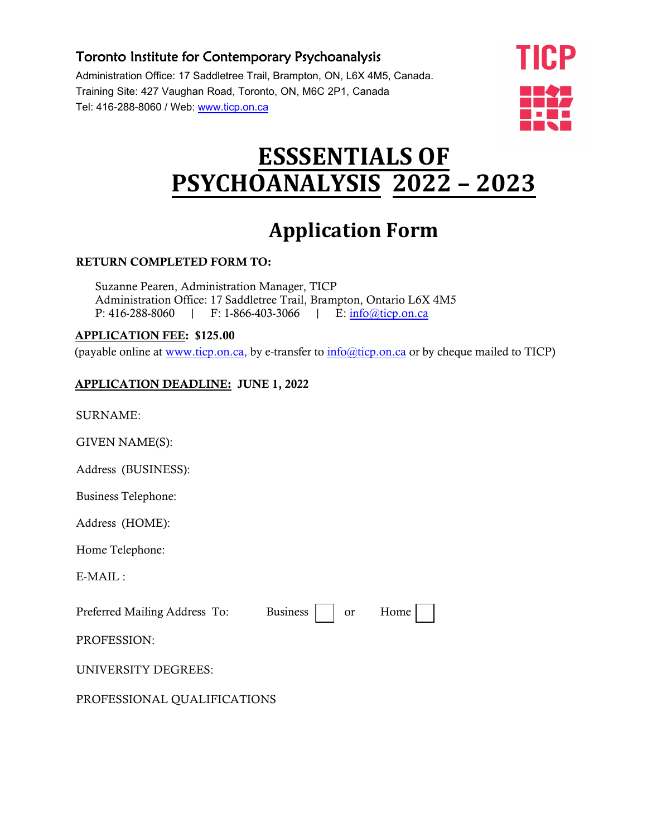### Toronto Institute for Contemporary Psychoanalysis

Administration Office: 17 Saddletree Trail, Brampton, ON, L6X 4M5, Canada. Training Site: 427 Vaughan Road, Toronto, ON, M6C 2P1, Canada Tel: 416-288-8060 / Web: ww[w.ticp.on.ca](http://www.ticp.on.ca/)



# **ESSSENTIALS OF PSYCHOANALYSIS 2022 – 2023**

# **Application Form**

#### RETURN COMPLETED FORM TO:

Suzanne Pearen, Administration Manager, TICP Administration Office: 17 Saddletree Trail, Brampton, Ontario L6X 4M5 P: 416-288-8060 | F: 1-866-403-3066 | E: info@ticp.on.ca

#### APPLICATION FEE: \$125.00

(payable online at [www.ticp.on.ca,](http://www.ticp.on.ca/) by e-transfer to [info@ticp.on.ca](mailto:info@ticp.on.ca) or by cheque mailed to TICP)

#### APPLICATION DEADLINE: JUNE 1, 2022

SURNAME:

GIVEN NAME(S):

Address (BUSINESS):

Business Telephone:

Address (HOME):

Home Telephone:

E-MAIL :

Preferred Mailing Address To: Business ∣ or Home

PROFESSION:

UNIVERSITY DEGREES:

PROFESSIONAL QUALIFICATIONS